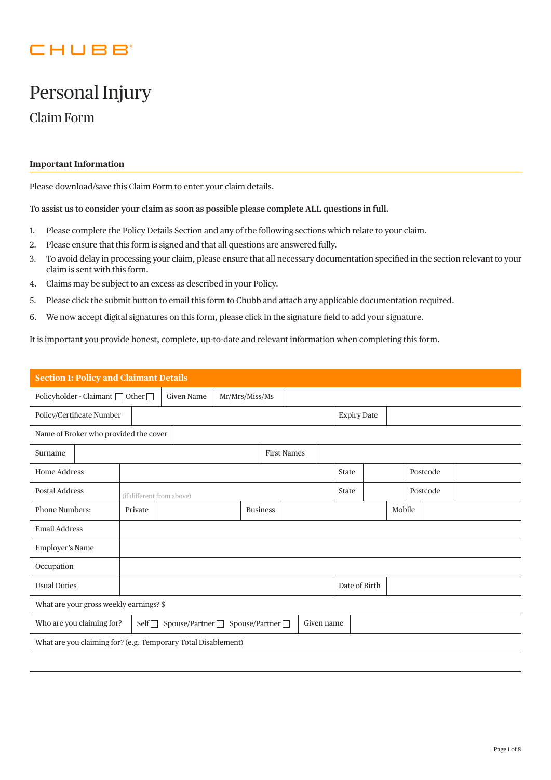## CHUBB

# Personal Injury

Claim Form

## **Important Information**

Please download/save this Claim Form to enter your claim details.

**To assist us to consider your claim as soon as possible please complete ALL questions in full.**

- 1. Please complete the Policy Details Section and any of the following sections which relate to your claim.
- 2. Please ensure that this form is signed and that all questions are answered fully.
- 3. To avoid delay in processing your claim, please ensure that all necessary documentation specified in the section relevant to your claim is sent with this form.
- 4. Claims may be subject to an excess as described in your Policy.
- 5. Please click the submit button to email this form to Chubb and attach any applicable documentation required.
- 6. We now accept digital signatures on this form, please click in the signature field to add your signature.

It is important you provide honest, complete, up-to-date and relevant information when completing this form.

| <b>Section 1: Policy and Claimant Details</b>                                                  |                                     |  |  |                 |                    |  |                    |  |        |          |  |
|------------------------------------------------------------------------------------------------|-------------------------------------|--|--|-----------------|--------------------|--|--------------------|--|--------|----------|--|
| Policyholder - Claimant □ Other □                                                              | <b>Given Name</b><br>Mr/Mrs/Miss/Ms |  |  |                 |                    |  |                    |  |        |          |  |
| Policy/Certificate Number                                                                      |                                     |  |  |                 |                    |  | <b>Expiry Date</b> |  |        |          |  |
| Name of Broker who provided the cover                                                          |                                     |  |  |                 |                    |  |                    |  |        |          |  |
| Surname                                                                                        |                                     |  |  |                 | <b>First Names</b> |  |                    |  |        |          |  |
| <b>Home Address</b>                                                                            |                                     |  |  |                 |                    |  | <b>State</b>       |  |        | Postcode |  |
| <b>Postal Address</b>                                                                          | (if different from above)           |  |  |                 |                    |  | <b>State</b>       |  |        | Postcode |  |
| <b>Phone Numbers:</b>                                                                          | Private                             |  |  | <b>Business</b> |                    |  |                    |  | Mobile |          |  |
| <b>Email Address</b>                                                                           |                                     |  |  |                 |                    |  |                    |  |        |          |  |
| Employer's Name                                                                                |                                     |  |  |                 |                    |  |                    |  |        |          |  |
| Occupation                                                                                     |                                     |  |  |                 |                    |  |                    |  |        |          |  |
| <b>Usual Duties</b>                                                                            |                                     |  |  |                 |                    |  | Date of Birth      |  |        |          |  |
| What are your gross weekly earnings? \$                                                        |                                     |  |  |                 |                    |  |                    |  |        |          |  |
| Spouse/Partner<br>Who are you claiming for?<br>Spouse/Partner<br>$\mathsf{Self}$<br>Given name |                                     |  |  |                 |                    |  |                    |  |        |          |  |
| What are you claiming for? (e.g. Temporary Total Disablement)                                  |                                     |  |  |                 |                    |  |                    |  |        |          |  |
|                                                                                                |                                     |  |  |                 |                    |  |                    |  |        |          |  |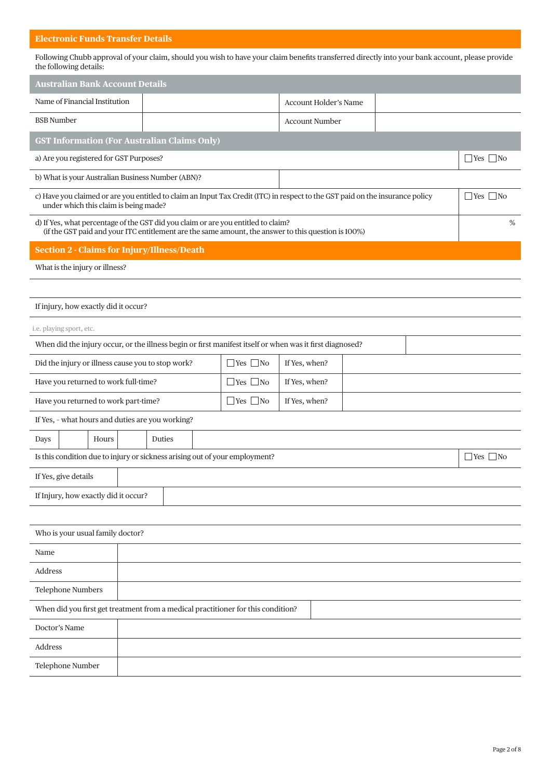## **Electronic Funds Transfer Details**

Following Chubb approval of your claim, should you wish to have your claim benefits transferred directly into your bank account, please provide the following details:

| <b>Australian Bank Account Details</b>                                                                                                                                                            |                                                                                                                                                                                          |                      |                              |  |  |                      |  |  |  |
|---------------------------------------------------------------------------------------------------------------------------------------------------------------------------------------------------|------------------------------------------------------------------------------------------------------------------------------------------------------------------------------------------|----------------------|------------------------------|--|--|----------------------|--|--|--|
| Name of Financial Institution                                                                                                                                                                     |                                                                                                                                                                                          |                      | <b>Account Holder's Name</b> |  |  |                      |  |  |  |
| <b>BSB</b> Number                                                                                                                                                                                 |                                                                                                                                                                                          |                      | <b>Account Number</b>        |  |  |                      |  |  |  |
|                                                                                                                                                                                                   | <b>GST Information (For Australian Claims Only)</b>                                                                                                                                      |                      |                              |  |  |                      |  |  |  |
| a) Are you registered for GST Purposes?                                                                                                                                                           |                                                                                                                                                                                          |                      |                              |  |  |                      |  |  |  |
|                                                                                                                                                                                                   | b) What is your Australian Business Number (ABN)?                                                                                                                                        |                      |                              |  |  |                      |  |  |  |
| c) Have you claimed or are you entitled to claim an Input Tax Credit (ITC) in respect to the GST paid on the insurance policy<br>$\exists$ Yes $\Box$ No<br>under which this claim is being made? |                                                                                                                                                                                          |                      |                              |  |  |                      |  |  |  |
|                                                                                                                                                                                                   | d) If Yes, what percentage of the GST did you claim or are you entitled to claim?<br>(if the GST paid and your ITC entitlement are the same amount, the answer to this question is 100%) |                      |                              |  |  | %                    |  |  |  |
| <b>Section 2 - Claims for Injury/Illness/Death</b>                                                                                                                                                |                                                                                                                                                                                          |                      |                              |  |  |                      |  |  |  |
| What is the injury or illness?                                                                                                                                                                    |                                                                                                                                                                                          |                      |                              |  |  |                      |  |  |  |
|                                                                                                                                                                                                   |                                                                                                                                                                                          |                      |                              |  |  |                      |  |  |  |
| If injury, how exactly did it occur?                                                                                                                                                              |                                                                                                                                                                                          |                      |                              |  |  |                      |  |  |  |
| i.e. playing sport, etc.                                                                                                                                                                          |                                                                                                                                                                                          |                      |                              |  |  |                      |  |  |  |
|                                                                                                                                                                                                   | When did the injury occur, or the illness begin or first manifest itself or when was it first diagnosed?                                                                                 |                      |                              |  |  |                      |  |  |  |
| Did the injury or illness cause you to stop work?                                                                                                                                                 |                                                                                                                                                                                          | $\Box$ Yes $\Box$ No | If Yes, when?                |  |  |                      |  |  |  |
| Have you returned to work full-time?                                                                                                                                                              |                                                                                                                                                                                          | $\Box$ Yes $\Box$ No | If Yes, when?                |  |  |                      |  |  |  |
| Have you returned to work part-time?                                                                                                                                                              |                                                                                                                                                                                          | $\Box$ Yes $\Box$ No | If Yes, when?                |  |  |                      |  |  |  |
| If Yes, - what hours and duties are you working?                                                                                                                                                  |                                                                                                                                                                                          |                      |                              |  |  |                      |  |  |  |
| Days<br>Hours                                                                                                                                                                                     | Duties                                                                                                                                                                                   |                      |                              |  |  |                      |  |  |  |
|                                                                                                                                                                                                   | Is this condition due to injury or sickness arising out of your employment?                                                                                                              |                      |                              |  |  | $\Box$ Yes $\Box$ No |  |  |  |
| If Yes, give details                                                                                                                                                                              |                                                                                                                                                                                          |                      |                              |  |  |                      |  |  |  |
| If Injury, how exactly did it occur?                                                                                                                                                              |                                                                                                                                                                                          |                      |                              |  |  |                      |  |  |  |
|                                                                                                                                                                                                   |                                                                                                                                                                                          |                      |                              |  |  |                      |  |  |  |
| Who is your usual family doctor?                                                                                                                                                                  |                                                                                                                                                                                          |                      |                              |  |  |                      |  |  |  |
| Name                                                                                                                                                                                              |                                                                                                                                                                                          |                      |                              |  |  |                      |  |  |  |
| Address                                                                                                                                                                                           |                                                                                                                                                                                          |                      |                              |  |  |                      |  |  |  |
| <b>Telephone Numbers</b>                                                                                                                                                                          |                                                                                                                                                                                          |                      |                              |  |  |                      |  |  |  |
| When did you first get treatment from a medical practitioner for this condition?                                                                                                                  |                                                                                                                                                                                          |                      |                              |  |  |                      |  |  |  |
| Doctor's Name                                                                                                                                                                                     |                                                                                                                                                                                          |                      |                              |  |  |                      |  |  |  |
| Address                                                                                                                                                                                           |                                                                                                                                                                                          |                      |                              |  |  |                      |  |  |  |
| Telephone Number                                                                                                                                                                                  |                                                                                                                                                                                          |                      |                              |  |  |                      |  |  |  |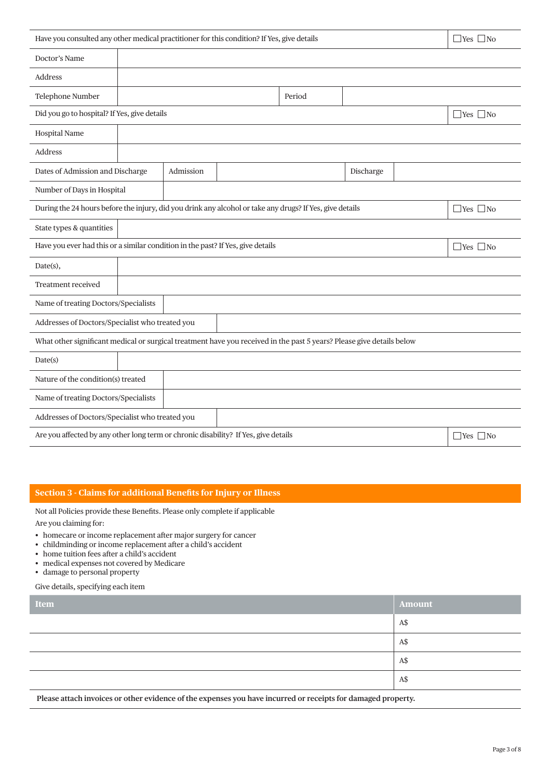| Have you consulted any other medical practitioner for this condition? If Yes, give details<br>$\Box$ Yes $\Box$ No    |                                    |           |  |        |           |  |                      |
|-----------------------------------------------------------------------------------------------------------------------|------------------------------------|-----------|--|--------|-----------|--|----------------------|
| Doctor's Name                                                                                                         |                                    |           |  |        |           |  |                      |
| Address                                                                                                               |                                    |           |  |        |           |  |                      |
| Telephone Number                                                                                                      |                                    |           |  | Period |           |  |                      |
| Did you go to hospital? If Yes, give details                                                                          |                                    |           |  |        |           |  | $\Box$ Yes $\Box$ No |
| Hospital Name                                                                                                         |                                    |           |  |        |           |  |                      |
| Address                                                                                                               |                                    |           |  |        |           |  |                      |
| Dates of Admission and Discharge                                                                                      |                                    | Admission |  |        | Discharge |  |                      |
| Number of Days in Hospital                                                                                            |                                    |           |  |        |           |  |                      |
| During the 24 hours before the injury, did you drink any alcohol or take any drugs? If Yes, give details              |                                    |           |  |        |           |  | $\Box$ Yes $\Box$ No |
| State types & quantities                                                                                              |                                    |           |  |        |           |  |                      |
| Have you ever had this or a similar condition in the past? If Yes, give details                                       |                                    |           |  |        |           |  | $\Box$ Yes $\Box$ No |
| Date(s),                                                                                                              |                                    |           |  |        |           |  |                      |
| Treatment received                                                                                                    |                                    |           |  |        |           |  |                      |
| Name of treating Doctors/Specialists                                                                                  |                                    |           |  |        |           |  |                      |
| Addresses of Doctors/Specialist who treated you                                                                       |                                    |           |  |        |           |  |                      |
| What other significant medical or surgical treatment have you received in the past 5 years? Please give details below |                                    |           |  |        |           |  |                      |
| Date(s)                                                                                                               |                                    |           |  |        |           |  |                      |
|                                                                                                                       | Nature of the condition(s) treated |           |  |        |           |  |                      |
| Name of treating Doctors/Specialists                                                                                  |                                    |           |  |        |           |  |                      |
| Addresses of Doctors/Specialist who treated you                                                                       |                                    |           |  |        |           |  |                      |
| Are you affected by any other long term or chronic disability? If Yes, give details<br>$\Box$ Yes $\Box$ No           |                                    |           |  |        |           |  |                      |

## **Section 3 - Claims for additional Benefits for Injury or Illness**

Not all Policies provide these Benefits. Please only complete if applicable

Are you claiming for:

- homecare or income replacement after major surgery for cancer
- childminding or income replacement after a child's accident
- home tuition fees after a child's accident
- medical expenses not covered by Medicare
- damage to personal property

Give details, specifying each item

| Item | Amount |
|------|--------|
|      | A\$    |
|      | A\$    |
|      | A\$    |
|      | A\$    |

 **Please attach invoices or other evidence of the expenses you have incurred or receipts for damaged property.**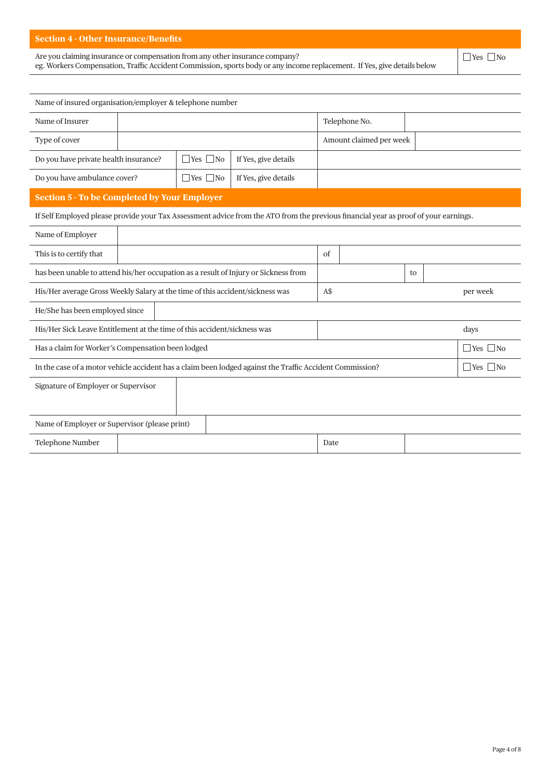### **Section 4 - Other Insurance/Benefits**

Are you claiming insurance or compensation from any other insurance company?

eg. Workers Compensation, Traffic Accident Commission, sports body or any income replacement. If Yes, give details below

 $\Box$ Yes  $\Box$ No

| Name of insured organisation/employer & telephone number                            |  |                      |                                                                                                                                     |            |                         |    |  |                      |
|-------------------------------------------------------------------------------------|--|----------------------|-------------------------------------------------------------------------------------------------------------------------------------|------------|-------------------------|----|--|----------------------|
| Name of Insurer                                                                     |  |                      |                                                                                                                                     |            | Telephone No.           |    |  |                      |
| Type of cover                                                                       |  |                      |                                                                                                                                     |            | Amount claimed per week |    |  |                      |
| Do you have private health insurance?                                               |  | $\Box$ Yes $\Box$ No | If Yes, give details                                                                                                                |            |                         |    |  |                      |
| Do you have ambulance cover?                                                        |  | $\Box$ Yes $\Box$ No | If Yes, give details                                                                                                                |            |                         |    |  |                      |
| <b>Section 5 - To be Completed by Your Employer</b>                                 |  |                      |                                                                                                                                     |            |                         |    |  |                      |
|                                                                                     |  |                      | If Self Employed please provide your Tax Assessment advice from the ATO from the previous financial year as proof of your earnings. |            |                         |    |  |                      |
| Name of Employer                                                                    |  |                      |                                                                                                                                     |            |                         |    |  |                      |
| This is to certify that                                                             |  |                      |                                                                                                                                     | $\sigma$ f |                         |    |  |                      |
| has been unable to attend his/her occupation as a result of Injury or Sickness from |  |                      |                                                                                                                                     |            |                         | to |  |                      |
| His/Her average Gross Weekly Salary at the time of this accident/sickness was       |  |                      |                                                                                                                                     | A\$        |                         |    |  | per week             |
| He/She has been employed since                                                      |  |                      |                                                                                                                                     |            |                         |    |  |                      |
| His/Her Sick Leave Entitlement at the time of this accident/sickness was            |  |                      |                                                                                                                                     |            |                         |    |  | days                 |
| Has a claim for Worker's Compensation been lodged                                   |  |                      |                                                                                                                                     |            |                         |    |  | $\Box$ Yes $\Box$ No |
|                                                                                     |  |                      | In the case of a motor vehicle accident has a claim been lodged against the Traffic Accident Commission?                            |            |                         |    |  | $\Box$ Yes $\Box$ No |
| Signature of Employer or Supervisor                                                 |  |                      |                                                                                                                                     |            |                         |    |  |                      |
|                                                                                     |  |                      |                                                                                                                                     |            |                         |    |  |                      |
| Name of Employer or Supervisor (please print)                                       |  |                      |                                                                                                                                     |            |                         |    |  |                      |
| Telephone Number                                                                    |  |                      |                                                                                                                                     | Date       |                         |    |  |                      |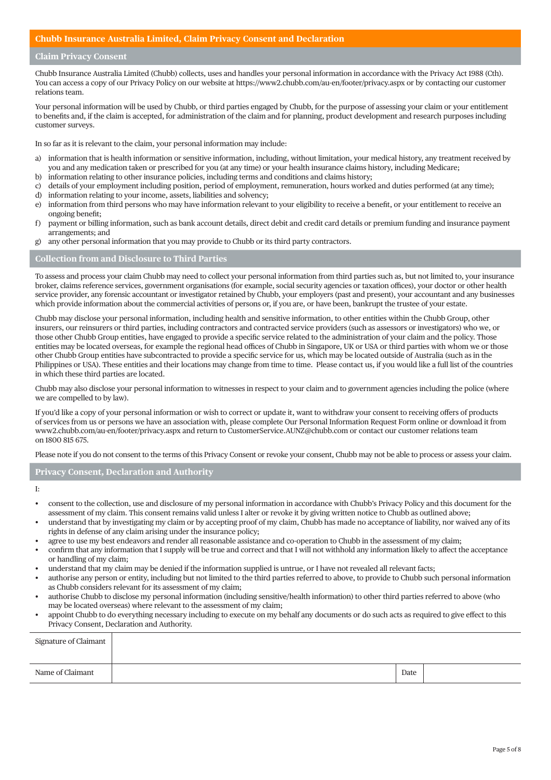#### **Chubb Insurance Australia Limited, Claim Privacy Consent and Declaration**

#### **Claim Privacy Consent**

Chubb Insurance Australia Limited (Chubb) collects, uses and handles your personal information in accordance with the Privacy Act 1988 (Cth). You can access a copy of our Privacy Policy on our website at https://www2.chubb.com/au-en/footer/privacy.aspx or by contacting our customer relations team.

Your personal information will be used by Chubb, or third parties engaged by Chubb, for the purpose of assessing your claim or your entitlement to benefits and, if the claim is accepted, for administration of the claim and for planning, product development and research purposes including customer surveys.

In so far as it is relevant to the claim, your personal information may include:

- a) information that is health information or sensitive information, including, without limitation, your medical history, any treatment received by you and any medication taken or prescribed for you (at any time) or your health insurance claims history, including Medicare;
- b) information relating to other insurance policies, including terms and conditions and claims history;
- c) details of your employment including position, period of employment, remuneration, hours worked and duties performed (at any time);
- d) information relating to your income, assets, liabilities and solvency;
- e) information from third persons who may have information relevant to your eligibility to receive a benefit, or your entitlement to receive an ongoing benefit;
- f) payment or billing information, such as bank account details, direct debit and credit card details or premium funding and insurance payment arrangements; and
- g) any other personal information that you may provide to Chubb or its third party contractors.

## **Collection from and Disclosure to Third Parties**

To assess and process your claim Chubb may need to collect your personal information from third parties such as, but not limited to, your insurance broker, claims reference services, government organisations (for example, social security agencies or taxation offices), your doctor or other health service provider, any forensic accountant or investigator retained by Chubb, your employers (past and present), your accountant and any businesses which provide information about the commercial activities of persons or, if you are, or have been, bankrupt the trustee of your estate.

Chubb may disclose your personal information, including health and sensitive information, to other entities within the Chubb Group, other insurers, our reinsurers or third parties, including contractors and contracted service providers (such as assessors or investigators) who we, or those other Chubb Group entities, have engaged to provide a specific service related to the administration of your claim and the policy. Those entities may be located overseas, for example the regional head offices of Chubb in Singapore, UK or USA or third parties with whom we or those other Chubb Group entities have subcontracted to provide a specific service for us, which may be located outside of Australia (such as in the Philippines or USA). These entities and their locations may change from time to time. Please contact us, if you would like a full list of the countries in which these third parties are located.

Chubb may also disclose your personal information to witnesses in respect to your claim and to government agencies including the police (where we are compelled to by law).

If you'd like a copy of your personal information or wish to correct or update it, want to withdraw your consent to receiving offers of products of services from us or persons we have an association with, please complete Our Personal Information Request Form online or download it from www2.chubb.com/au-en/footer/privacy.aspx and return to CustomerService.AUNZ@chubb.com or contact our customer relations team on 1800 815 675.

Please note if you do not consent to the terms of this Privacy Consent or revoke your consent, Chubb may not be able to process or assess your claim.

#### **Privacy Consent, Declaration and Authority**

I:

- consent to the collection, use and disclosure of my personal information in accordance with Chubb's Privacy Policy and this document for the assessment of my claim. This consent remains valid unless I alter or revoke it by giving written notice to Chubb as outlined above;
- understand that by investigating my claim or by accepting proof of my claim, Chubb has made no acceptance of liability, nor waived any of its rights in defense of any claim arising under the insurance policy;
- agree to use my best endeavors and render all reasonable assistance and co-operation to Chubb in the assessment of my claim;
- confirm that any information that I supply will be true and correct and that I will not withhold any information likely to affect the acceptance or handling of my claim;
- understand that my claim may be denied if the information supplied is untrue, or I have not revealed all relevant facts;
- authorise any person or entity, including but not limited to the third parties referred to above, to provide to Chubb such personal information as Chubb considers relevant for its assessment of my claim;
- authorise Chubb to disclose my personal information (including sensitive/health information) to other third parties referred to above (who may be located overseas) where relevant to the assessment of my claim;
- appoint Chubb to do everything necessary including to execute on my behalf any documents or do such acts as required to give effect to this Privacy Consent, Declaration and Authority.

| Signature of Claimant |      |  |
|-----------------------|------|--|
| Name of Claimant      | Date |  |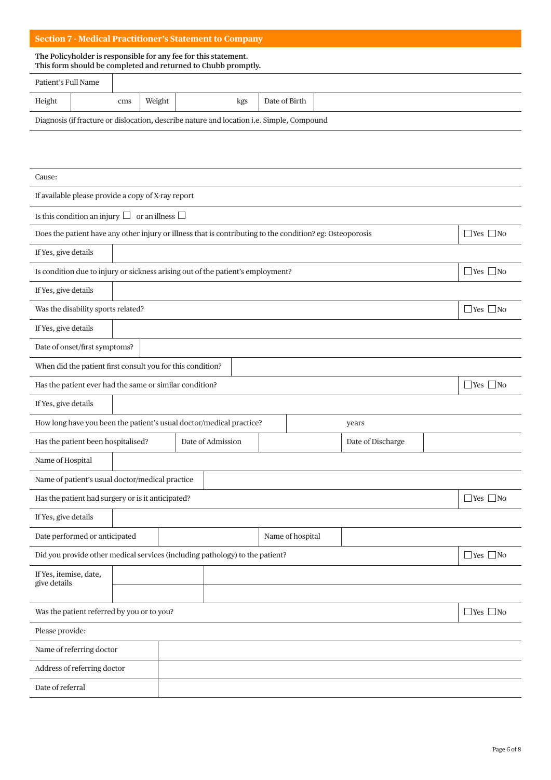## **Section 7 - Medical Practitioner's Statement to Company**

#### **The Policyholder is responsible for any fee for this statement. This form should be completed and returned to Chubb promptly.**

| Patient's Full Name                                                                              |  |     |        |     |               |  |  |
|--------------------------------------------------------------------------------------------------|--|-----|--------|-----|---------------|--|--|
| Height                                                                                           |  | cms | Weight | kgs | Date of Birth |  |  |
| Diagnosis (if fracture or dislocation, describe nature and location <i>i.e. Simple, Compound</i> |  |     |        |     |               |  |  |

| Cause:                                                                                                    |                             |  |                   |  |                  |                   |  |                      |  |  |  |
|-----------------------------------------------------------------------------------------------------------|-----------------------------|--|-------------------|--|------------------|-------------------|--|----------------------|--|--|--|
| If available please provide a copy of X-ray report                                                        |                             |  |                   |  |                  |                   |  |                      |  |  |  |
| Is this condition an injury $\Box$ or an illness $\Box$                                                   |                             |  |                   |  |                  |                   |  |                      |  |  |  |
| Does the patient have any other injury or illness that is contributing to the condition? eg: Osteoporosis |                             |  |                   |  |                  |                   |  | $\Box$ Yes $\Box$ No |  |  |  |
| If Yes, give details                                                                                      |                             |  |                   |  |                  |                   |  |                      |  |  |  |
| Is condition due to injury or sickness arising out of the patient's employment?                           |                             |  |                   |  |                  |                   |  | $\Box$ Yes $\Box$ No |  |  |  |
| If Yes, give details                                                                                      |                             |  |                   |  |                  |                   |  |                      |  |  |  |
| Was the disability sports related?                                                                        |                             |  |                   |  |                  |                   |  | $\Box$ Yes $\Box$ No |  |  |  |
| If Yes, give details                                                                                      |                             |  |                   |  |                  |                   |  |                      |  |  |  |
| Date of onset/first symptoms?                                                                             |                             |  |                   |  |                  |                   |  |                      |  |  |  |
| When did the patient first consult you for this condition?                                                |                             |  |                   |  |                  |                   |  |                      |  |  |  |
| Has the patient ever had the same or similar condition?                                                   |                             |  |                   |  |                  |                   |  | $\Box$ Yes $\Box$ No |  |  |  |
| If Yes, give details                                                                                      |                             |  |                   |  |                  |                   |  |                      |  |  |  |
| How long have you been the patient's usual doctor/medical practice?                                       |                             |  |                   |  |                  | years             |  |                      |  |  |  |
| Has the patient been hospitalised?                                                                        |                             |  | Date of Admission |  |                  | Date of Discharge |  |                      |  |  |  |
| Name of Hospital                                                                                          |                             |  |                   |  |                  |                   |  |                      |  |  |  |
| Name of patient's usual doctor/medical practice                                                           |                             |  |                   |  |                  |                   |  |                      |  |  |  |
| Has the patient had surgery or is it anticipated?                                                         |                             |  |                   |  |                  |                   |  | $\Box$ Yes $\Box$ No |  |  |  |
| If Yes, give details                                                                                      |                             |  |                   |  |                  |                   |  |                      |  |  |  |
| Date performed or anticipated                                                                             |                             |  |                   |  | Name of hospital |                   |  |                      |  |  |  |
| Did you provide other medical services (including pathology) to the patient?                              |                             |  |                   |  |                  |                   |  | $\Box$ Yes $\Box$ No |  |  |  |
| If Yes, itemise, date,<br>give details                                                                    |                             |  |                   |  |                  |                   |  |                      |  |  |  |
|                                                                                                           |                             |  |                   |  |                  |                   |  |                      |  |  |  |
| Was the patient referred by you or to you?                                                                |                             |  |                   |  |                  |                   |  | $\Box$ Yes $\Box$ No |  |  |  |
| Please provide:                                                                                           |                             |  |                   |  |                  |                   |  |                      |  |  |  |
| Name of referring doctor                                                                                  |                             |  |                   |  |                  |                   |  |                      |  |  |  |
|                                                                                                           | Address of referring doctor |  |                   |  |                  |                   |  |                      |  |  |  |
| Date of referral                                                                                          |                             |  |                   |  |                  |                   |  |                      |  |  |  |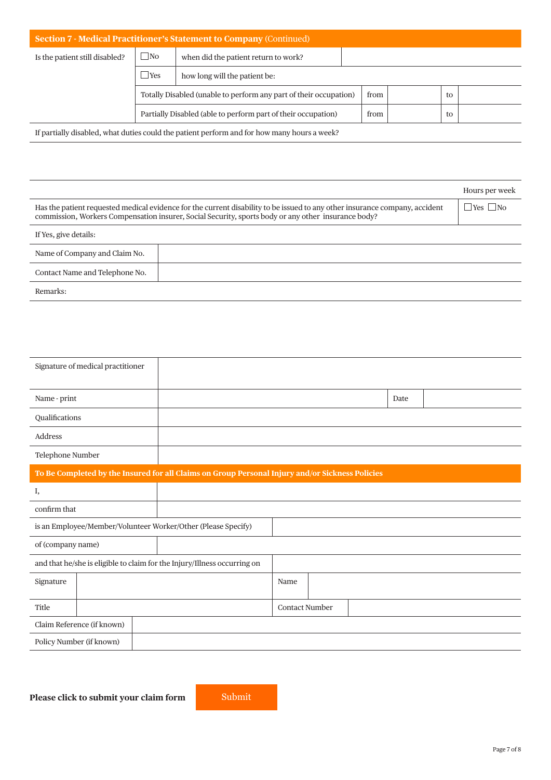| <b>Section 7 - Medical Practitioner's Statement to Company (Continued)</b> |                |                                                                   |      |  |    |  |  |  |  |  |
|----------------------------------------------------------------------------|----------------|-------------------------------------------------------------------|------|--|----|--|--|--|--|--|
| Is the patient still disabled?                                             | $\Box$ No      | when did the patient return to work?                              |      |  |    |  |  |  |  |  |
|                                                                            | $\mathbf{Yes}$ | how long will the patient be:                                     |      |  |    |  |  |  |  |  |
|                                                                            |                | Totally Disabled (unable to perform any part of their occupation) | from |  | to |  |  |  |  |  |
|                                                                            |                | Partially Disabled (able to perform part of their occupation)     | from |  | to |  |  |  |  |  |

If partially disabled, what duties could the patient perform and for how many hours a week?

|                                                                                                                                                                                                                                    | Hours per week       |
|------------------------------------------------------------------------------------------------------------------------------------------------------------------------------------------------------------------------------------|----------------------|
| Has the patient requested medical evidence for the current disability to be issued to any other insurance company, accident<br>commission, Workers Compensation insurer, Social Security, sports body or any other insurance body? | $\Box$ Yes $\Box$ No |
| If Yes, give details:                                                                                                                                                                                                              |                      |
| Name of Company and Claim No.                                                                                                                                                                                                      |                      |
| Contact Name and Telephone No.                                                                                                                                                                                                     |                      |
| Remarks:                                                                                                                                                                                                                           |                      |

|                   | Signature of medical practitioner |                                                                                                 |                       |      |
|-------------------|-----------------------------------|-------------------------------------------------------------------------------------------------|-----------------------|------|
| Name - print      |                                   |                                                                                                 |                       | Date |
| Qualifications    |                                   |                                                                                                 |                       |      |
| Address           |                                   |                                                                                                 |                       |      |
| Telephone Number  |                                   |                                                                                                 |                       |      |
|                   |                                   | To Be Completed by the Insured for all Claims on Group Personal Injury and/or Sickness Policies |                       |      |
| Ι,                |                                   |                                                                                                 |                       |      |
| confirm that      |                                   |                                                                                                 |                       |      |
|                   |                                   | is an Employee/Member/Volunteer Worker/Other (Please Specify)                                   |                       |      |
| of (company name) |                                   |                                                                                                 |                       |      |
|                   |                                   | and that he/she is eligible to claim for the Injury/Illness occurring on                        |                       |      |
| Signature         |                                   |                                                                                                 | Name                  |      |
| Title             |                                   |                                                                                                 | <b>Contact Number</b> |      |
|                   | Claim Reference (if known)        |                                                                                                 |                       |      |
|                   | Policy Number (if known)          |                                                                                                 |                       |      |
|                   |                                   |                                                                                                 |                       |      |